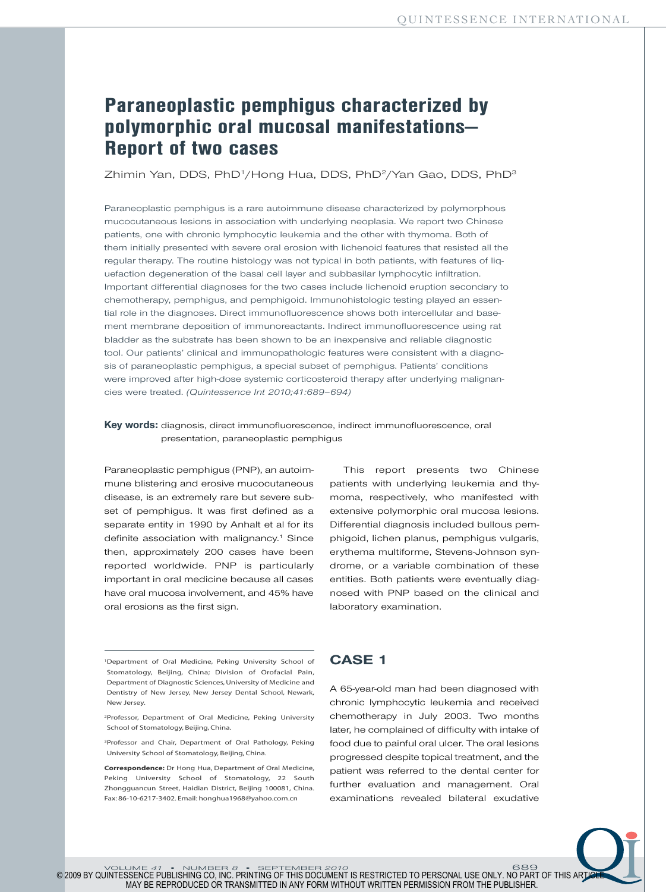# **Paraneoplastic pemphigus characterized by polymorphic oral mucosal manifestations— Report of two cases**

Zhimin Yan, DDS, PhD1/Hong Hua, DDS, PhD2/Yan Gao, DDS, PhD3

Paraneoplastic pemphigus is a rare autoimmune disease characterized by polymorphous mucocutaneous lesions in association with underlying neoplasia. We report two Chinese patients, one with chronic lymphocytic leukemia and the other with thymoma. Both of them initially presented with severe oral erosion with lichenoid features that resisted all the regular therapy. The routine histology was not typical in both patients, with features of liquefaction degeneration of the basal cell layer and subbasilar lymphocytic infiltration. Important differential diagnoses for the two cases include lichenoid eruption secondary to chemotherapy, pemphigus, and pemphigoid. Immunohistologic testing played an essential role in the diagnoses. Direct immunofluorescence shows both intercellular and basement membrane deposition of immunoreactants. Indirect immunofluorescence using rat bladder as the substrate has been shown to be an inexpensive and reliable diagnostic tool. Our patients' clinical and immunopathologic features were consistent with a diagnosis of paraneoplastic pemphigus, a special subset of pemphigus. Patients' conditions were improved after high-dose systemic corticosteroid therapy after underlying malignancies were treated. *(Quintessence Int 2010;41:689–694)*

### **Key words:** diagnosis, direct immunofluorescence, indirect immunofluorescence, oral presentation, paraneoplastic pemphigus

Paraneoplastic pemphigus (PNP), an autoimmune blistering and erosive mucocutaneous disease, is an extremely rare but severe subset of pemphigus. It was first defined as a separate entity in 1990 by Anhalt et al for its definite association with malignancy. <sup>1</sup> Since then, approximately 200 cases have been reported worldwide. PNP is particularly important in oral medicine because all cases have oral mucosa involvement, and 45% have oral erosions as the first sign.

This report presents two Chinese patients with underlying leukemia and thymoma, respectively, who manifested with extensive polymorphic oral mucosa lesions. Differential diagnosis included bullous pemphigoid, lichen planus, pemphigus vulgaris, erythema multiforme, Stevens-Johnson syndrome, or a variable combination of these entities. Both patients were eventually diagnosed with PNP based on the clinical and laboratory examination.

1Department of Oral Medicine, Peking University School of Stomatology, Beijing, China; Division of Orofacial Pain, Department of Diagnostic Sciences,University of Medicine and Dentistry of New Jersey, New Jersey Dental School, Newark, New Jersey.

2Professor, Department of Oral Medicine, Peking University School of Stomatology, Beijing, China.

3Professor and Chair, Department of Oral Pathology, Peking University School of Stomatology, Beijing, China.

**Correspondence:** Dr Hong Hua, Department of Oral Medicine, Peking University School of Stomatology, 22 South Zhongguancun Street, Haidian District, Beijing 100081, China. Fax: 86-10-6217-3402. Email: honghua1968@yahoo.com.cn

### **CASE 1**

A 65-year-old man had been diagnosed with chronic lymphocytic leukemia and received chemotherapy in July 2003. Two months later, he complained of difficulty with intake of food due to painful oral ulcer. The oral lesions progressed despite topical treatment, and the patient was referred to the dental center for further evaluation and management. Oral examinations revealed bilateral exudative

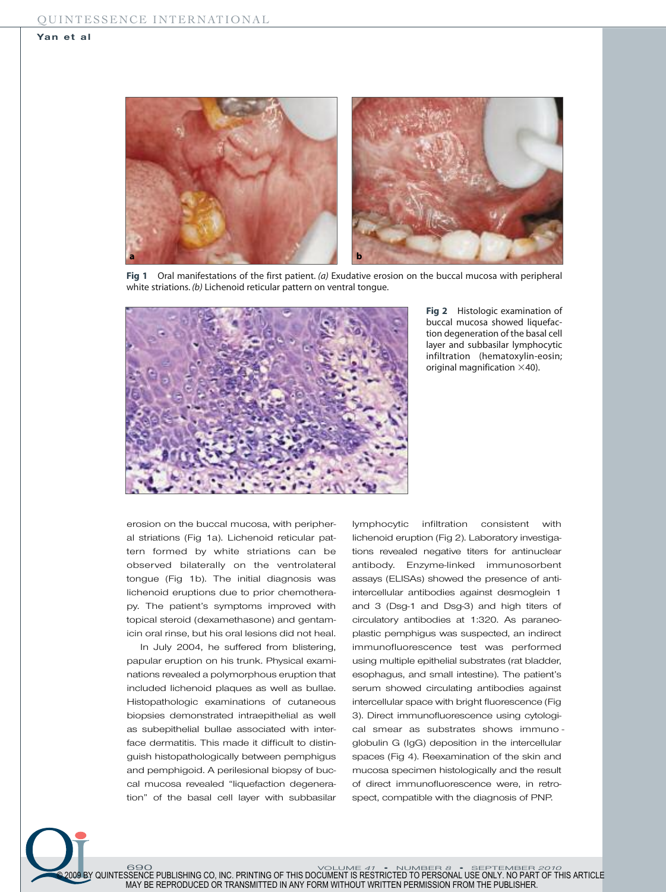

**Fig 1** Oral manifestations of the first patient. *(a)* Exudative erosion on the buccal mucosa with peripheral white striations. *(b)* Lichenoid reticular pattern on ventral tongue.

690 VOLUME *41* • NUMBER *8* • SEPTEMBER *2010*

© 2009 BY QUINTESSENCE PUBLISHING CO, INC. PRINTING OF THIS DOCUMENT IS RESTRICTED TO PERSONAL USE ONLY. NO PART OF THIS ARTICLE MAY BE REPRODUCED OR TRANSMITTED IN ANY FORM WITHOUT WRITTEN PERMISSION FROM THE PUBLISHER.



**Fig 2** Histologic examination of buccal mucosa showed liquefaction degeneration of the basal cell layer and subbasilar lymphocytic infiltration (hematoxylin-eosin; original magnification  $\times$ 40).

erosion on the buccal mucosa, with peripheral striations (Fig 1a). Lichenoid reticular pattern formed by white striations can be observed bilaterally on the ventrolateral tongue (Fig 1b). The initial diagnosis was lichenoid eruptions due to prior chemotherapy. The patient's symptoms improved with topical steroid (dexamethasone) and gentamicin oral rinse, but his oral lesions did not heal.

In July 2004, he suffered from blistering, papular eruption on his trunk. Physical examinations revealed a polymorphous eruption that included lichenoid plaques as well as bullae. Histopathologic examinations of cutaneous biopsies demonstrated intraepithelial as well as subepithelial bullae associated with interface dermatitis. This made it difficult to distinguish histopathologically between pemphigus and pemphigoid. A perilesional biopsy of buccal mucosa revealed "liquefaction degeneration" of the basal cell layer with subbasilar

lymphocytic infiltration consistent with lichenoid eruption (Fig 2). Laboratory investigations revealed negative titers for antinuclear antibody. Enzyme-linked immunosorbent assays (ELISAs) showed the presence of antiintercellular antibodies against desmoglein 1 and 3 (Dsg-1 and Dsg-3) and high titers of circulatory antibodies at 1:320. As paraneoplastic pemphigus was suspected, an indirect immunofluorescence test was performed using multiple epithelial substrates (rat bladder, esophagus, and small intestine). The patient's serum showed circulating antibodies against intercellular space with bright fluorescence (Fig 3). Direct immunofluorescence using cytological smear as substrates shows immuno globulin G (IgG) deposition in the intercellular spaces (Fig 4). Reexamination of the skin and mucosa specimen histologically and the result of direct immunofluorescence were, in retrospect, compatible with the diagnosis of PNP.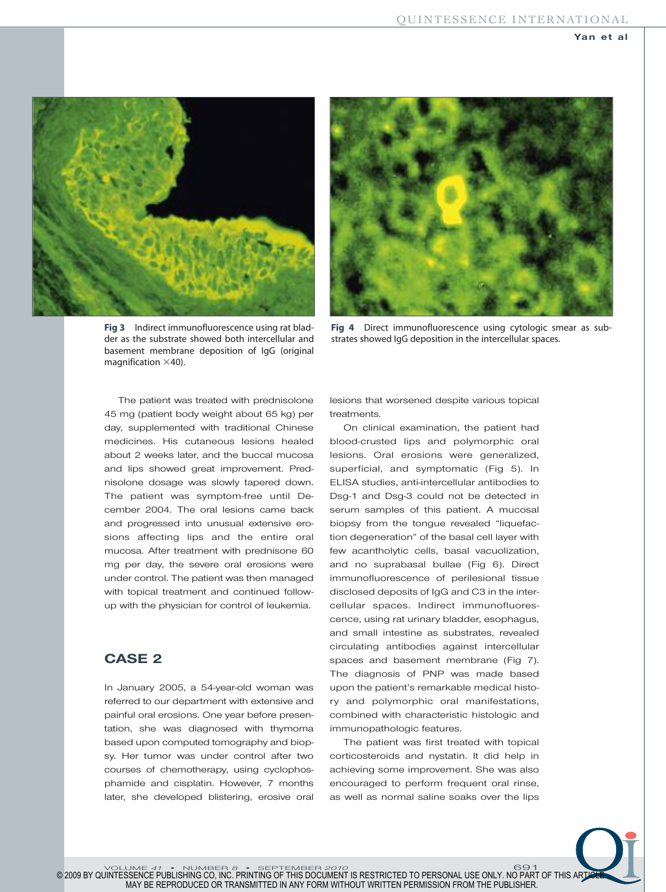



**Fig 3** Indirect immunofluorescence using rat bladder as the substrate showed both intercellular and basement membrane deposition of IgG (original magnification  $\times$ 40).

**Fig 4** Direct immunofluorescence using cytologic smear as substrates showed IgG deposition in the intercellular spaces.

The patient was treated with prednisolone 45 mg (patient body weight about 65 kg) per day, supplemented with traditional Chinese medicines. His cutaneous lesions healed about 2 weeks later, and the buccal mucosa and lips showed great improvement. Prednisolone dosage was slowly tapered down. The patient was symptom-free until December 2004. The oral lesions came back and progressed into unusual extensive erosions affecting lips and the entire oral mucosa. After treatment with prednisone 60 mg per day, the severe oral erosions were under control. The patient was then managed with topical treatment and continued followup with the physician for control of leukemia.

# **CASE 2**

In January 2005, a 54-year-old woman was referred to our department with extensive and painful oral erosions. One year before presentation, she was diagnosed with thymoma based upon computed tomography and biopsy. Her tumor was under control after two courses of chemotherapy, using cyclophosphamide and cisplatin. However, 7 months later, she developed blistering, erosive oral

lesions that worsened despite various topical treatments.

On clinical examination, the patient had blood-crusted lips and polymorphic oral lesions. Oral erosions were generalized, superficial, and symptomatic (Fig 5). In ELISA studies, anti-intercellular antibodies to Dsg-1 and Dsg-3 could not be detected in serum samples of this patient. A mucosal biopsy from the tongue revealed "liquefaction degeneration" of the basal cell layer with few acantholytic cells, basal vacuolization, and no suprabasal bullae (Fig 6). Direct immunofluorescence of perilesional tissue disclosed deposits of IgG and C3 in the intercellular spaces. Indirect immunofluorescence, using rat urinary bladder, esophagus, and small intestine as substrates, revealed circulating antibodies against intercellular spaces and basement membrane (Fig 7). The diagnosis of PNP was made based upon the patient's remarkable medical history and polymorphic oral manifestations, combined with characteristic histologic and immunopathologic features.

The patient was first treated with topical corticosteroids and nystatin. It did help in achieving some improvement. She was also encouraged to perform frequent oral rinse, as well as normal saline soaks over the lips

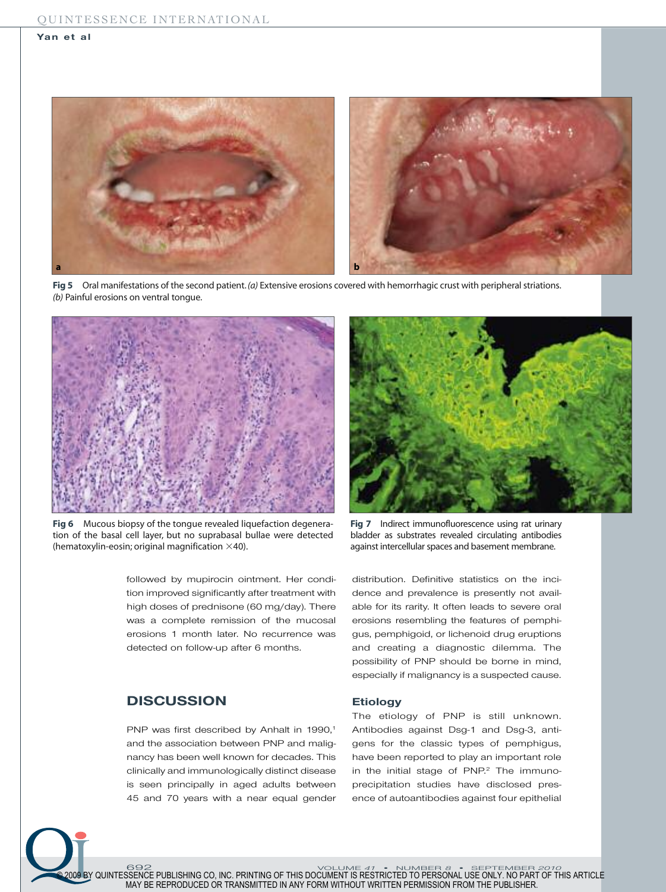#### **Yan et al**



Fig 5 Oral manifestations of the second patient. (a) Extensive erosions covered with hemorrhagic crust with peripheral striations. *(b)* Painful erosions on ventral tongue.



**Fig 6** Mucous biopsy of the tongue revealed liquefaction degeneration of the basal cell layer, but no suprabasal bullae were detected (hematoxylin-eosin; original magnification  $\times$ 40).

followed by mupirocin ointment. Her condition improved significantly after treatment with high doses of prednisone (60 mg/day). There was a complete remission of the mucosal erosions 1 month later. No recurrence was detected on follow-up after 6 months.

## **DISCUSSION**

PNP was first described by Anhalt in 1990, 1 and the association between PNP and malignancy has been well known for decades. This clinically and immunologically distinct disease is seen principally in aged adults between 45 and 70 years with a near equal gender



**Fig 7** Indirect immunofluorescence using rat urinary bladder as substrates revealed circulating antibodies against intercellular spaces and basement membrane.

distribution. Definitive statistics on the incidence and prevalence is presently not available for its rarity. It often leads to severe oral erosions resembling the features of pemphigus, pemphigoid, or lichenoid drug eruptions and creating a diagnostic dilemma. The possibility of PNP should be borne in mind, especially if malignancy is a suspected cause.

### **Etiology**

The etiology of PNP is still unknown. Antibodies against Dsg-1 and Dsg-3, antigens for the classic types of pemphigus, have been reported to play an important role in the initial stage of PNP. <sup>2</sup> The immunoprecipitation studies have disclosed presence of autoantibodies against four epithelial

692 VOLUME *41* • NUMBER *8* • SEPTEMBER *2010* © 2009 BY QUINTESSENCE PUBLISHING CO, INC. PRINTING OF THIS DOCUMENT IS RESTRICTED TO PERSONAL USE ONLY. NO PART OF THIS ARTICLE MAY BE REPRODUCED OR TRANSMITTED IN ANY FORM WITHOUT WRITTEN PERMISSION FROM THE PUBLISHER.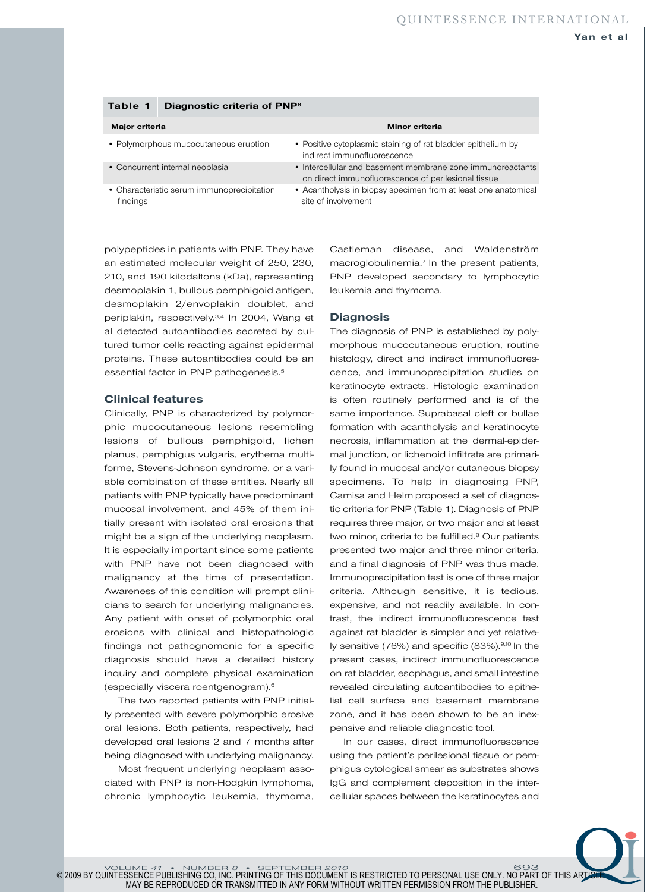| lavit I<br><b>Diagnostic Criteria OF FIVE</b>          |                                                                                                                   |
|--------------------------------------------------------|-------------------------------------------------------------------------------------------------------------------|
| Major criteria                                         | Minor criteria                                                                                                    |
| • Polymorphous mucocutaneous eruption                  | • Positive cytoplasmic staining of rat bladder epithelium by<br>indirect immunofluorescence                       |
| • Concurrent internal neoplasia                        | • Intercellular and basement membrane zone immunoreactants<br>on direct immunofluorescence of perilesional tissue |
| • Characteristic serum immunoprecipitation<br>findings | • Acantholysis in biopsy specimen from at least one anatomical<br>site of involvement                             |

**Table 1 Diagnostic criteria of PNP8**

polypeptides in patients with PNP. They have an estimated molecular weight of 250, 230, 210, and 190 kilodaltons (kDa), representing desmoplakin 1, bullous pemphigoid antigen, desmoplakin 2/en voplakin doublet, and periplakin, respectively. 3,4 In 2004, Wang et al detected autoantibodies secreted by cultured tumor cells reacting against epidermal proteins. These autoantibodies could be an essential factor in PNP pathogenesis. 5

#### **Clinical features**

Clinically, PNP is characterized by polymorphic mucocutaneous lesions resembling lesions of bullous pemphigoid, lichen planus, pemphigus vulgaris, erythema multiforme, Stevens-Johnson syndrome, or a variable combination of these entities. Nearly all patients with PNP typically have predominant mucosal involvement, and 45% of them initially present with isolated oral erosions that might be a sign of the underlying neoplasm. It is especially important since some patients with PNP have not been diagnosed with malignancy at the time of presentation. Awareness of this condition will prompt clinicians to search for underlying malignancies. Any patient with onset of polymorphic oral erosions with clinical and histopathologic findings not pathognomonic for a specific diagnosis should have a detailed history inquiry and complete physical examination (especially viscera roentgenogram). 6

The two reported patients with PNP initially presented with severe polymorphic erosive oral lesions. Both patients, respectively, had developed oral lesions 2 and 7 months after being diagnosed with underlying malignancy.

Most frequent underlying neoplasm associated with PNP is non-Hodgkin lymphoma, chronic lymphocytic leukemia, thymoma, Castleman disease, and Waldenström macroglobulinemia.<sup>7</sup> In the present patients, PNP developed secondary to lymphocytic leukemia and thymoma.

### **Diagnosis**

The diagnosis of PNP is established by polymorphous mucocutaneous eruption, routine histology, direct and indirect immunofluorescence, and immunoprecipitation studies on keratinocyte extracts. Histologic examination is often routinely performed and is of the same importance. Suprabasal cleft or bullae formation with acantholysis and keratinocyte necrosis, inflammation at the dermal-epidermal junction, or lichenoid infiltrate are primarily found in mucosal and/or cutaneous biopsy specimens. To help in diagnosing PNP, Camisa and Helm proposed a set of diagnostic criteria for PNP (Table 1). Diagnosis of PNP requires three major, or two major and at least two minor, criteria to be fulfilled. <sup>8</sup> Our patients presented two major and three minor criteria, and a final diagnosis of PNP was thus made. Immunoprecipitation test is one of three major criteria. Although sensitive, it is tedious, expensive, and not readily available. In contrast, the indirect immunofluorescence test against rat bladder is simpler and yet relatively sensitive (76%) and specific (83%).<sup>9,10</sup> In the present cases, indirect immunofluorescence on rat bladder, esophagus, and small intestine revealed circulating autoantibodies to epithelial cell surface and basement membrane zone, and it has been shown to be an inexpensive and reliable diagnostic tool.

In our cases, direct immunofluorescence using the patient's perilesional tissue or pemphigus cytological smear as substrates shows IgG and complement deposition in the intercellular spaces between the keratinocytes and